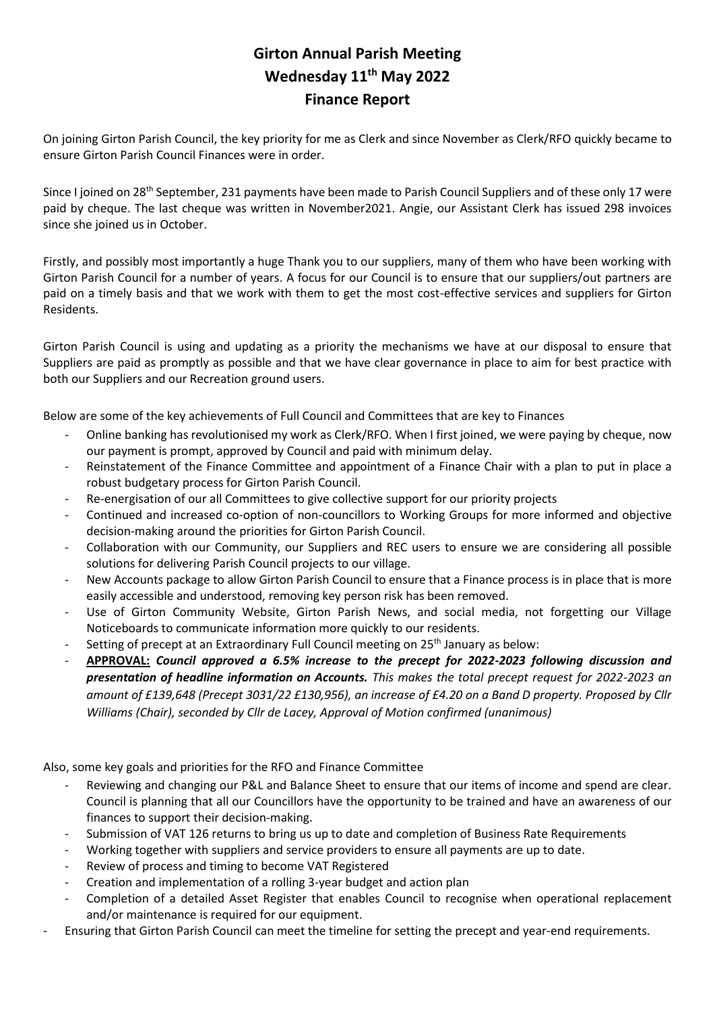## **Girton Annual Parish Meeting Wednesday 11th May 2022 Finance Report**

On joining Girton Parish Council, the key priority for me as Clerk and since November as Clerk/RFO quickly became to ensure Girton Parish Council Finances were in order.

Since I joined on 28<sup>th</sup> September, 231 payments have been made to Parish Council Suppliers and of these only 17 were paid by cheque. The last cheque was written in November2021. Angie, our Assistant Clerk has issued 298 invoices since she joined us in October.

Firstly, and possibly most importantly a huge Thank you to our suppliers, many of them who have been working with Girton Parish Council for a number of years. A focus for our Council is to ensure that our suppliers/out partners are paid on a timely basis and that we work with them to get the most cost-effective services and suppliers for Girton Residents.

Girton Parish Council is using and updating as a priority the mechanisms we have at our disposal to ensure that Suppliers are paid as promptly as possible and that we have clear governance in place to aim for best practice with both our Suppliers and our Recreation ground users.

Below are some of the key achievements of Full Council and Committees that are key to Finances

- Online banking has revolutionised my work as Clerk/RFO. When I first joined, we were paying by cheque, now our payment is prompt, approved by Council and paid with minimum delay.
- Reinstatement of the Finance Committee and appointment of a Finance Chair with a plan to put in place a robust budgetary process for Girton Parish Council.
- Re-energisation of our all Committees to give collective support for our priority projects
- Continued and increased co-option of non-councillors to Working Groups for more informed and objective decision-making around the priorities for Girton Parish Council.
- Collaboration with our Community, our Suppliers and REC users to ensure we are considering all possible solutions for delivering Parish Council projects to our village.
- New Accounts package to allow Girton Parish Council to ensure that a Finance process is in place that is more easily accessible and understood, removing key person risk has been removed.
- Use of Girton Community Website, Girton Parish News, and social media, not forgetting our Village Noticeboards to communicate information more quickly to our residents.
- Setting of precept at an Extraordinary Full Council meeting on 25<sup>th</sup> January as below:
- **APPROVAL:** *Council approved a 6.5% increase to the precept for 2022-2023 following discussion and presentation of headline information on Accounts. This makes the total precept request for 2022-2023 an amount of £139,648 (Precept 3031/22 £130,956), an increase of £4.20 on a Band D property. Proposed by Cllr Williams (Chair), seconded by Cllr de Lacey, Approval of Motion confirmed (unanimous)*

Also, some key goals and priorities for the RFO and Finance Committee

- Reviewing and changing our P&L and Balance Sheet to ensure that our items of income and spend are clear. Council is planning that all our Councillors have the opportunity to be trained and have an awareness of our finances to support their decision-making.
- Submission of VAT 126 returns to bring us up to date and completion of Business Rate Requirements
- Working together with suppliers and service providers to ensure all payments are up to date.
- Review of process and timing to become VAT Registered
- Creation and implementation of a rolling 3-year budget and action plan
- Completion of a detailed Asset Register that enables Council to recognise when operational replacement and/or maintenance is required for our equipment.
- Ensuring that Girton Parish Council can meet the timeline for setting the precept and year-end requirements.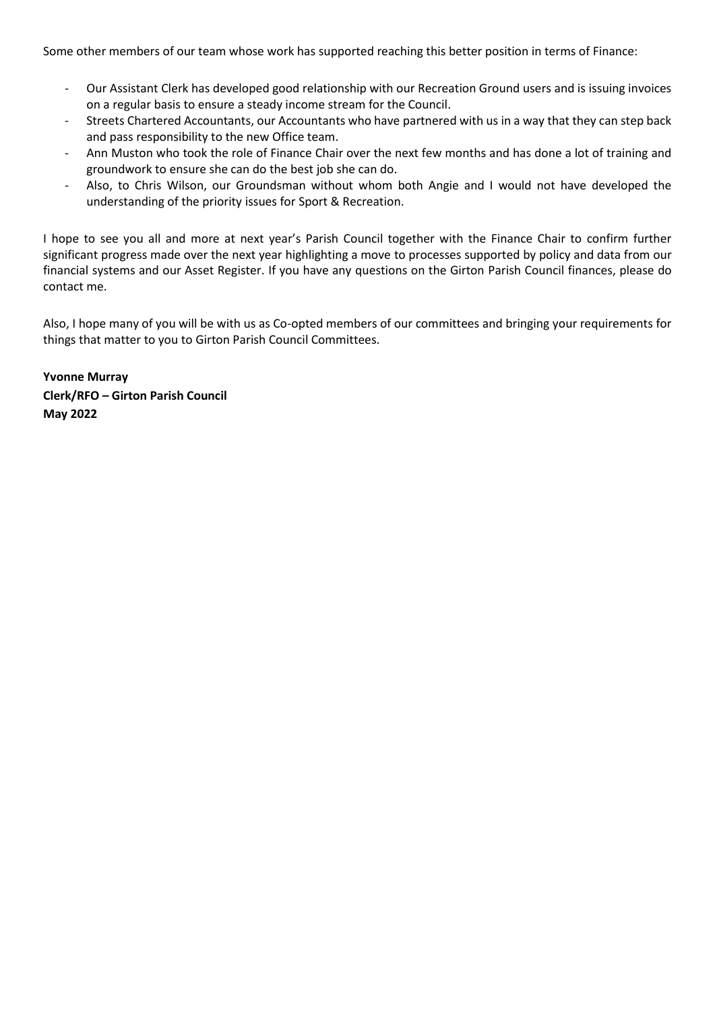Some other members of our team whose work has supported reaching this better position in terms of Finance:

- Our Assistant Clerk has developed good relationship with our Recreation Ground users and is issuing invoices on a regular basis to ensure a steady income stream for the Council.
- Streets Chartered Accountants, our Accountants who have partnered with us in a way that they can step back and pass responsibility to the new Office team.
- Ann Muston who took the role of Finance Chair over the next few months and has done a lot of training and groundwork to ensure she can do the best job she can do.
- Also, to Chris Wilson, our Groundsman without whom both Angie and I would not have developed the understanding of the priority issues for Sport & Recreation.

I hope to see you all and more at next year's Parish Council together with the Finance Chair to confirm further significant progress made over the next year highlighting a move to processes supported by policy and data from our financial systems and our Asset Register. If you have any questions on the Girton Parish Council finances, please do contact me.

Also, I hope many of you will be with us as Co-opted members of our committees and bringing your requirements for things that matter to you to Girton Parish Council Committees.

**Yvonne Murray Clerk/RFO – Girton Parish Council May 2022**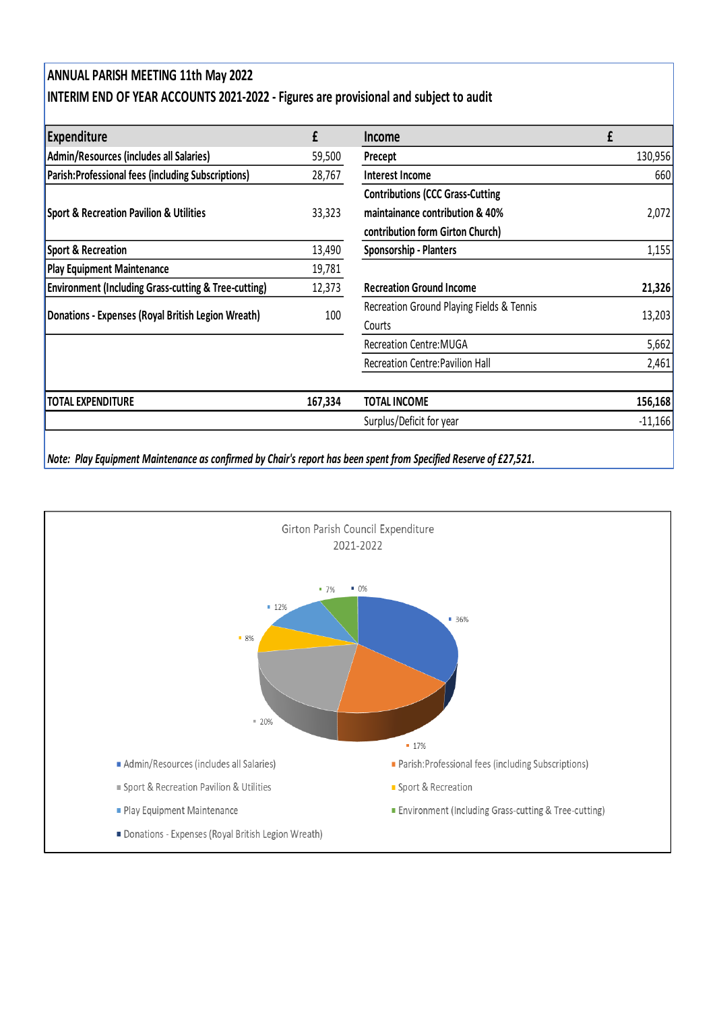## **ANNUAL PARISH MEETING 11th May 2022 INTERIM END OF YEAR ACCOUNTS 2021-2022 - Figures are provisional and subject to audit**

| Expenditure                                                     | £       | <b>Income</b>                             | £         |  |
|-----------------------------------------------------------------|---------|-------------------------------------------|-----------|--|
| Admin/Resources (includes all Salaries)                         | 59,500  | Precept                                   | 130,956   |  |
| Parish: Professional fees (including Subscriptions)             | 28,767  | Interest Income                           | 660       |  |
|                                                                 |         | <b>Contributions (CCC Grass-Cutting</b>   |           |  |
| <b>Sport &amp; Recreation Pavilion &amp; Utilities</b>          | 33,323  | maintainance contribution & 40%           | 2,072     |  |
|                                                                 |         | contribution form Girton Church)          |           |  |
| Sport & Recreation                                              | 13,490  | <b>Sponsorship - Planters</b>             | 1,155     |  |
| <b>Play Equipment Maintenance</b>                               | 19,781  |                                           |           |  |
| <b>Environment (Including Grass-cutting &amp; Tree-cutting)</b> | 12,373  | <b>Recreation Ground Income</b>           | 21,326    |  |
| Donations - Expenses (Royal British Legion Wreath)              | 100     | Recreation Ground Playing Fields & Tennis | 13,203    |  |
|                                                                 |         | Courts                                    |           |  |
|                                                                 |         | <b>Recreation Centre: MUGA</b>            | 5,662     |  |
|                                                                 |         | <b>Recreation Centre: Pavilion Hall</b>   | 2,461     |  |
| <b>TOTAL EXPENDITURE</b>                                        | 167,334 | <b>TOTAL INCOME</b>                       | 156,168   |  |
|                                                                 |         | Surplus/Deficit for year                  | $-11,166$ |  |

*Note: Play Equipment Maintenance as confirmed by Chair's report has been spent from Specified Reserve of £27,521.*